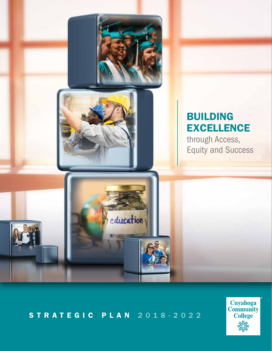

# STRATEGIC PLAN 2018-2022

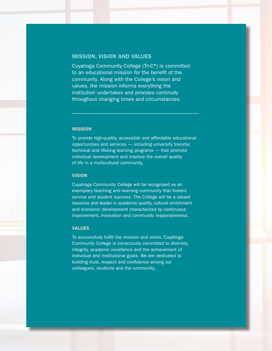# MISSION, VISION AND VALUES

Cuyahoga Community College (Tri-C®) is committed to an educational mission for the benefit of the community. Along with the College's vision and values, the mission informs everything the institution undertakes and provides continuity throughout changing times and circumstances.

# MISSION

To provide high-quality, accessible and affordable educational opportunities and services — including university transfer, technical and lifelong learning programs — that promote individual development and improve the overall quality of life in a multicultural community.

### **VISION**

Cuyahoga Community College will be recognized as an exemplary teaching and learning community that fosters service and student success. The College will be a valued resource and leader in academic quality, cultural enrichment and economic development characterized by continuous improvement, innovation and community responsiveness.

# VALUES

To successfully fulfill the mission and vision, Cuyahoga Community College is consciously committed to diversity, integrity, academic excellence and the achievement of individual and institutional goals. We are dedicated to building trust, respect and confidence among our colleagues, students and the community.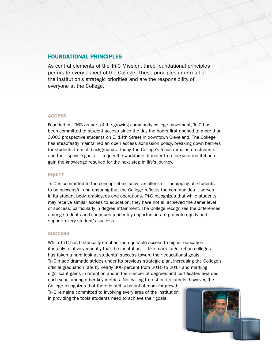# FOUNDATIONAL PRINCIPLES

As central elements of the Tri-C Mission, three foundational principles permeate every aspect of the College. These principles inform all of the institution's strategic priorities and are the responsibility of everyone at the College.

# ACCESS

Founded in 1963 as part of the growing community college movement, Tri-C has been committed to student access since the day the doors first opened to more than 3,000 prospective students on E. 14th Street in downtown Cleveland. The College has steadfastly maintained an open access admission policy, breaking down barriers for students from all backgrounds. Today, the College's focus remains on students and their specific goals — to join the workforce, transfer to a four-year institution or gain the knowledge required for the next step in life's journey.

# EQUITY

Tri-C is committed to the concept of inclusive excellence — equipping all students to be successful and ensuring that the College reflects the communities it serves in its student body, employees and operations. Tri-C recognizes that while students may receive similar access to education, they have not all achieved the same level of success, particularly in degree attainment. The College recognizes the differences among students and continues to identify opportunities to promote equity and support every student's success.

# **SUCCESS**

While Tri-C has historically emphasized equitable access to higher education, it is only relatively recently that the institution — like many large, urban colleges has taken a hard look at students' success toward their educational goals. Tri-C made dramatic strides under its previous strategic plan, increasing the College's official graduation rate by nearly 300 percent from 2010 to 2017 and marking significant gains in retention and in the number of degrees and certificates awarded each year, among other key metrics. Not willing to rest on its laurels, however, the College recognizes that there is still substantial room for growth.

Tri-C remains committed to involving every area of the institution in providing the tools students need to achieve their goals.

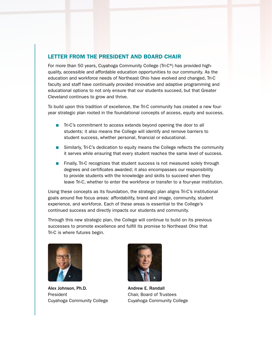# LETTER FROM THE PRESIDENT AND BOARD CHAIR

For more than 50 years, Cuyahoga Community College (Tri-C®) has provided highquality, accessible and affordable education opportunities to our community. As the education and workforce needs of Northeast Ohio have evolved and changed, Tri-C faculty and staff have continually provided innovative and adaptive programming and educational options to not only ensure that our students succeed, but that Greater Cleveland continues to grow and thrive.

To build upon this tradition of excellence, the Tri-C community has created a new fouryear strategic plan rooted in the foundational concepts of access, equity and success.

- Tri-C's commitment to access extends beyond opening the door to all students; it also means the College will identify and remove barriers to student success, whether personal, financial or educational.
- Similarly, Tri-C's dedication to equity means the College reflects the community it serves while ensuring that every student reaches the same level of success.
- **n** Finally, Tri-C recognizes that student success is not measured solely through degrees and certificates awarded; it also encompasses our responsibility to provide students with the knowledge and skills to succeed when they leave Tri-C, whether to enter the workforce or transfer to a four-year institution.

Using these concepts as its foundation, the strategic plan aligns Tri-C's institutional goals around five focus areas: affordability, brand and image, community, student experience, and workforce. Each of these areas is essential to the College's continued success and directly impacts our students and community.

Through this new strategic plan, the College will continue to build on its previous successes to promote excellence and fulfill its promise to Northeast Ohio that Tri-C is where futures begin.



Alex Johnson, Ph.D. **Andrew E. Randall President Chair, Board of Trustees** 



Cuyahoga Community College Cuyahoga Community College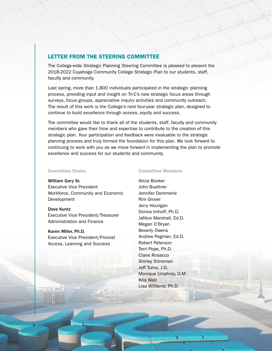# LETTER FROM THE STEERING COMMITTEE

The College-wide Strategic Planning Steering Committee is pleased to present the 2018-2022 Cuyahoga Community College Strategic Plan to our students, staff, faculty and community.

Last spring, more than 1,800 individuals participated in the strategic planning process, providing input and insight on Tri-C's new strategic focus areas through surveys, focus groups, appreciative inquiry activities and community outreach. The result of this work is the College's next four-year strategic plan, designed to continue to build excellence through access, equity and success.

The committee would like to thank all of the students, staff, faculty and community members who gave their time and expertise to contribute to the creation of this strategic plan. Your participation and feedback were invaluable to the strategic planning process and truly formed the foundation for this plan. We look forward to continuing to work with you as we move forward in implementing the plan to promote excellence and success for our students and community.

### Committee Chairs

#### William Gary Sr.

Executive Vice President Workforce, Community and Economic Development

#### Dave Kuntz

Executive Vice President/Treasurer Administration and Finance

# Karen Miller, Ph.D.

Executive Vice President/Provost Access, Learning and Success

# Committee Members

Alicia Booker John Buettner Jennifer Demmerle Rini Grover Jerry Hourigan Donna Imhoff, Ph.D. JaNice Marshall, Ed.D. Megan O'Bryan Beverly Owens Andrew Pegman, Ed.D. Robert Peterson Terri Pope, Ph.D. Claire Rosacco Shirley Stineman Jeff Tuma, J.D. Monique Umphrey, D.M. Kris Walz Lisa Williams, Ph.D.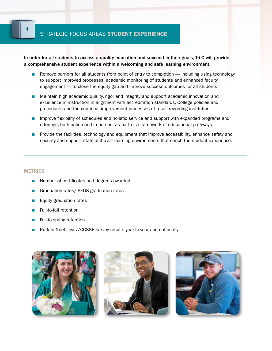In order for all students to access a quality education and succeed in their goals, Tri-C will provide a comprehensive student experience within a welcoming and safe learning environment.

- **n** Remove barriers for all students from point of entry to completion including using technology to support improved processes, academic monitoring of students and enhanced faculty engagement — to close the equity gap and improve success outcomes for all students.
- n Maintain high academic quality, rigor and integrity and support academic innovation and excellence in instruction in alignment with accreditation standards, College policies and procedures and the continual improvement processes of a self-regarding institution.
- **n** Improve flexibility of schedules and holistic service and support with expanded programs and offerings, both online and in person, as part of a framework of educational pathways.
- **n** Provide the facilities, technology and equipment that improve accessibility, enhance safety and security and support state-of-the-art learning environments that enrich the student experience.

#### **METRICS**

- Number of certificates and degrees awarded
- n Graduation rates/IPEDS graduation rates
- **n** Equity graduation rates
- Fall-to-fall retention
- Fall-to-spring retention
- Ruffalo Noel Levitz/CCSSE survey results year-to-year and nationally





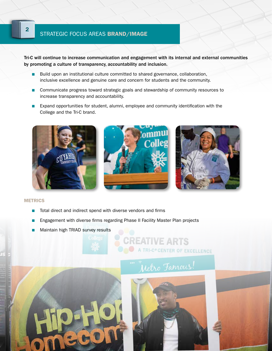# STRATEGIC FOCUS AREAS BRAND/IMAGE

Tri-C will continue to increase communication and engagement with its internal and external communities by promoting a culture of transparency, accountability and inclusion.

- Build upon an institutional culture committed to shared governance, collaboration, inclusive excellence and genuine care and concern for students and the community.
- Communicate progress toward strategic goals and stewardship of community resources to increase transparency and accountability.
- **n** Expand opportunities for student, alumni, employee and community identification with the College and the Tri-C brand.



# **METRICS**

2

- Total direct and indirect spend with diverse vendors and firms
- n Engagement with diverse firms regarding Phase II Facility Master Plan projects
- Maintain high TRIAD survey results





**REATIVE ARTS** 

A TRI-C® CENTER OF EXCELLENCE

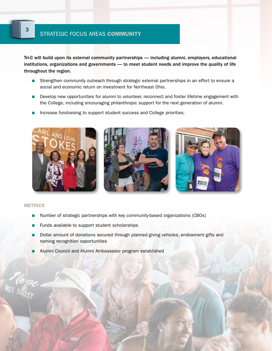# STRATEGIC FOCUS AREAS COMMUNITY

Tri-C will build upon its external community partnerships — including alumni, employers, educational institutions, organizations and governments — to meet student needs and improve the quality of life throughout the region.

- **n** Strengthen community outreach through strategic external partnerships in an effort to ensure a social and economic return on investment for Northeast Ohio.
- **n** Develop new opportunities for alumni to volunteer, reconnect and foster lifetime engagement with the College, including encouraging philanthropic support for the next generation of alumni.
- n Increase fundraising to support student success and College priorities.



#### **METRICS**

- **n** Number of strategic partnerships with key community-based organizations (CBOs)
- Funds available to support student scholarships
- **n** Dollar amount of donations secured through planned giving vehicles, endowment gifts and naming recognition opportunities
- Alumni Council and Alumni Ambassador program established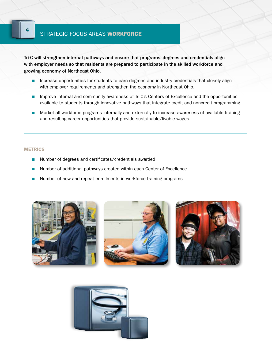# STRATEGIC FOCUS AREAS WORKFORCE

Tri-C will strengthen internal pathways and ensure that programs, degrees and credentials align with employer needs so that residents are prepared to participate in the skilled workforce and growing economy of Northeast Ohio.

- **n** Increase opportunities for students to earn degrees and industry credentials that closely align with employer requirements and strengthen the economy in Northeast Ohio.
- **n** Improve internal and community awareness of Tri-C's Centers of Excellence and the opportunities available to students through innovative pathways that integrate credit and noncredit programming.
- **n** Market all workforce programs internally and externally to increase awareness of available training and resulting career opportunities that provide sustainable/livable wages.

### **METRICS**

- Number of degrees and certificates/credentials awarded
- Number of additional pathways created within each Center of Excellence
- Number of new and repeat enrollments in workforce training programs







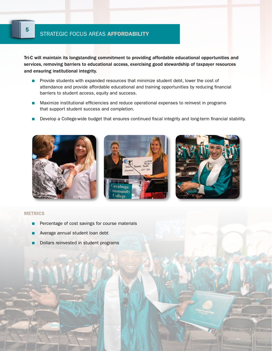# STRATEGIC FOCUS AREAS AFFORDABILITY

Tri-C will maintain its longstanding commitment to providing affordable educational opportunities and services, removing barriers to educational access, exercising good stewardship of taxpayer resources and ensuring institutional integrity.

- **n** Provide students with expanded resources that minimize student debt, lower the cost of attendance and provide affordable educational and training opportunities by reducing financial barriers to student access, equity and success.
- n Maximize institutional efficiencies and reduce operational expenses to reinvest in programs that support student success and completion.
- **n** Develop a College-wide budget that ensures continued fiscal integrity and long-term financial stability.



### **METRICS**

- **n** Percentage of cost savings for course materials
- Average annual student loan debt
- Dollars reinvested in student programs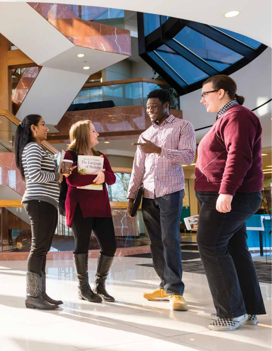